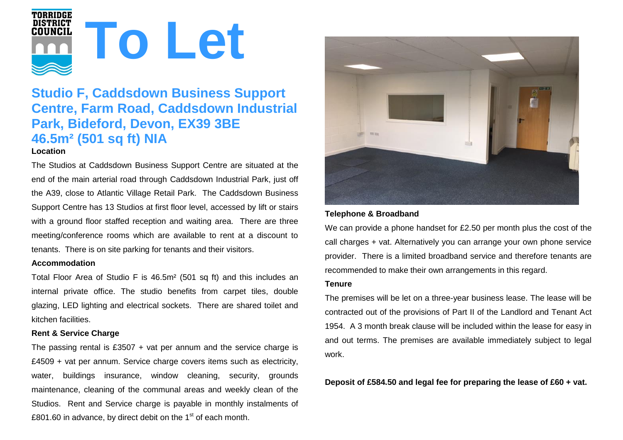

# **Studio F, Caddsdown Business Support Centre, Farm Road, Caddsdown Industrial Park, Bideford, Devon, EX39 3BE 46.5m² (501 sq ft) NIA Location**

The Studios at Caddsdown Business Support Centre are situated at the end of the main arterial road through Caddsdown Industrial Park, just off the A39, close to Atlantic Village Retail Park. The Caddsdown Business Support Centre has 13 Studios at first floor level, accessed by lift or stairs with a ground floor staffed reception and waiting area. There are three meeting/conference rooms which are available to rent at a discount to tenants. There is on site parking for tenants and their visitors.

#### **Accommodation**

Total Floor Area of Studio F is 46.5m² (501 sq ft) and this includes an internal private office. The studio benefits from carpet tiles, double glazing, LED lighting and electrical sockets. There are shared toilet and kitchen facilities.

#### **Rent & Service Charge**

The passing rental is £3507  $+$  vat per annum and the service charge is £4509 + vat per annum. Service charge covers items such as electricity, water, buildings insurance, window cleaning, security, grounds maintenance, cleaning of the communal areas and weekly clean of the Studios. Rent and Service charge is payable in monthly instalments of £801.60 in advance, by direct debit on the  $1<sup>st</sup>$  of each month.



### **Telephone & Broadband**

We can provide a phone handset for £2.50 per month plus the cost of the call charges + vat. Alternatively you can arrange your own phone service provider. There is a limited broadband service and therefore tenants are recommended to make their own arrangements in this regard.

#### **Tenure**

The premises will be let on a three-year business lease. The lease will be contracted out of the provisions of Part II of the Landlord and Tenant Act 1954. A 3 month break clause will be included within the lease for easy in and out terms. The premises are available immediately subject to legal work.

**Deposit of £584.50 and legal fee for preparing the lease of £60 + vat.**